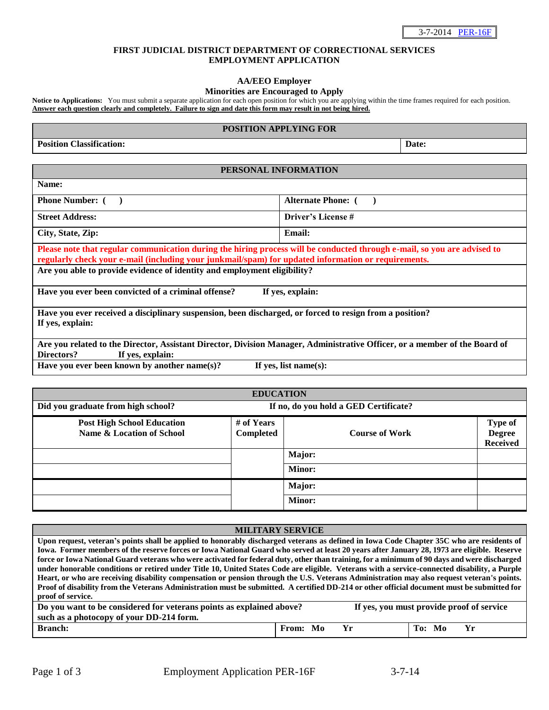## **FIRST JUDICIAL DISTRICT DEPARTMENT OF CORRECTIONAL SERVICES EMPLOYMENT APPLICATION**

## **AA/EEO Employer**

### **Minorities are Encouraged to Apply**

Notice to Applications: You must submit a separate application for each open position for which you are applying within the time frames required for each position. **Answer each question clearly and completely. Failure to sign and date this form may result in not being hired.**

### **POSITION APPLYING FOR**

**Position Classification:** Date: **Date: Date: Date: Date: Date: Date: Date: Date: Date: Date: Date: Date: Date: Date: Date: Date: Date: Date: D** 

## **PERSONAL INFORMATION**

**Phone Number:** ( ) **Alternate Phone:** ( )

**Name:** 

**Street Address: Driver's License #** 

**City, State, Zip: Email:** 

**Please note that regular communication during the hiring process will be conducted through e-mail, so you are advised to regularly check your e-mail (including your junkmail/spam) for updated information or requirements. Are you able to provide evidence of identity and employment eligibility?** 

**Have you ever been convicted of a criminal offense? If yes, explain:** 

**Have you ever received a disciplinary suspension, been discharged, or forced to resign from a position? If yes, explain:** 

**Are you related to the Director, Assistant Director, Division Manager, Administrative Officer, or a member of the Board of Directors? If yes, explain:** 

Have you ever been known by another name(s)? If yes, list name(s):

| <b>EDUCATION</b>                                                            |                         |                                 |                                             |  |
|-----------------------------------------------------------------------------|-------------------------|---------------------------------|---------------------------------------------|--|
| Did you graduate from high school?<br>If no, do you hold a GED Certificate? |                         |                                 |                                             |  |
| <b>Post High School Education</b><br>Name & Location of School              | # of Years<br>Completed | <b>Course of Work</b><br>Major: | Type of<br><b>Degree</b><br><b>Received</b> |  |
|                                                                             |                         | <b>Minor:</b>                   |                                             |  |
|                                                                             |                         | Major:                          |                                             |  |
|                                                                             |                         | <b>Minor:</b>                   |                                             |  |

### **MILITARY SERVICE**

**Upon request, veteran's points shall be applied to honorably discharged veterans as defined in Iowa Code Chapter 35C who are residents of Iowa. Former members of the reserve forces or Iowa National Guard who served at least 20 years after January 28, 1973 are eligible. Reserve force or Iowa National Guard veterans who were activated for federal duty, other than training, for a minimum of 90 days and were discharged under honorable conditions or retired under Title 10, United States Code are eligible. Veterans with a service-connected disability, a Purple Heart, or who are receiving disability compensation or pension through the U.S. Veterans Administration may also request veteran's points. Proof of disability from the Veterans Administration must be submitted. A certified DD-214 or other official document must be submitted for proof of service.**

| Do you want to be considered for veterans points as explained above? |          | If yes, you must provide proof of service |              |  |  |
|----------------------------------------------------------------------|----------|-------------------------------------------|--------------|--|--|
| such as a photocopy of your DD-214 form.                             |          |                                           |              |  |  |
| <b>Branch:</b>                                                       | From: Mo | Yr                                        | Yr<br>To: Mo |  |  |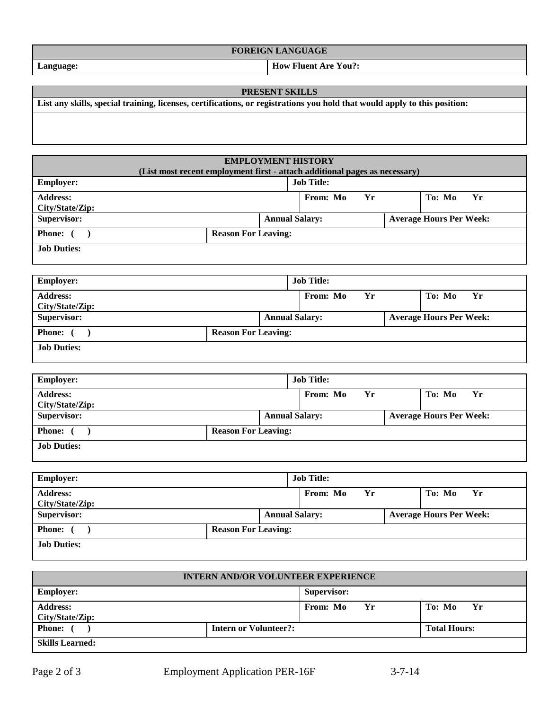# **FOREIGN LANGUAGE**

**Job Duties:** 

**Address: City/State/Zip:** 

**Job Duties:** 

| <b>Employer:</b>                   |                                           | <b>Job Title:</b> |                       |  |                                |      |  |  |  |
|------------------------------------|-------------------------------------------|-------------------|-----------------------|--|--------------------------------|------|--|--|--|
| <b>Address:</b><br>City/State/Zip: |                                           |                   | From: Mo<br>Yr        |  | To: Mo                         | - Yr |  |  |  |
| Supervisor:                        |                                           |                   | <b>Annual Salary:</b> |  | <b>Average Hours Per Week:</b> |      |  |  |  |
| <b>Phone:</b>                      | <b>Reason For Leaving:</b>                |                   |                       |  |                                |      |  |  |  |
| <b>Job Duties:</b>                 |                                           |                   |                       |  |                                |      |  |  |  |
|                                    |                                           |                   |                       |  |                                |      |  |  |  |
|                                    | <b>INTERN AND/OR VOLUNTEER EXPERIENCE</b> |                   |                       |  |                                |      |  |  |  |
| $F_{\text{mnlavare}}$              |                                           |                   | Supervisor.           |  |                                |      |  |  |  |

**Supervisor:** Annual Salary: **Annual Salary:** Average Hours Per Week:

| <b>INTERN AND/OR VOLUNTEER EXPERIENCE</b> |                              |                |                     |  |  |
|-------------------------------------------|------------------------------|----------------|---------------------|--|--|
| <b>Employer:</b>                          |                              | Supervisor:    |                     |  |  |
| <b>Address:</b><br>City/State/Zip:        |                              | From: Mo<br>Yr | To: Mo<br>- Yr      |  |  |
| <b>Phone:</b> (                           | <b>Intern or Volunteer?:</b> |                | <b>Total Hours:</b> |  |  |
| Clille Loorpod.                           |                              |                |                     |  |  |

**Skills Learned:** 

From: Mo Yr | To: Mo Yr

**Language: How Fluent Are You?:** 

# **PRESENT SKILLS List any skills, special training, licenses, certifications, or registrations you hold that would apply to this position:**

**Phone:** ( ) Reason For Leaving:

**Phone:** ( ) **Reason For Leaving:** 

**Employer: Job Title:** 

| (List most recent employment first - attach additional pages as necessary) |  |                            |                                |  |  |
|----------------------------------------------------------------------------|--|----------------------------|--------------------------------|--|--|
| <b>Employer:</b>                                                           |  | <b>Job Title:</b>          |                                |  |  |
| <b>Address:</b><br>City/State/Zip:                                         |  | Yr<br>From: Mo             | To: Mo<br>Yr                   |  |  |
| Supervisor:                                                                |  | <b>Annual Salary:</b>      | <b>Average Hours Per Week:</b> |  |  |
| <b>Phone:</b>                                                              |  | <b>Reason For Leaving:</b> |                                |  |  |
| <b>Job Duties:</b>                                                         |  |                            |                                |  |  |
| <b>Employer:</b>                                                           |  | <b>Job Title:</b>          |                                |  |  |
| <b>Address:</b><br>City/State/Zip:                                         |  | Yr<br>From: Mo             | To: Mo<br><b>Yr</b>            |  |  |
| Supervisor:                                                                |  | <b>Annual Salary:</b>      | <b>Average Hours Per Week:</b> |  |  |

**EMPLOYMENT HISTORY**